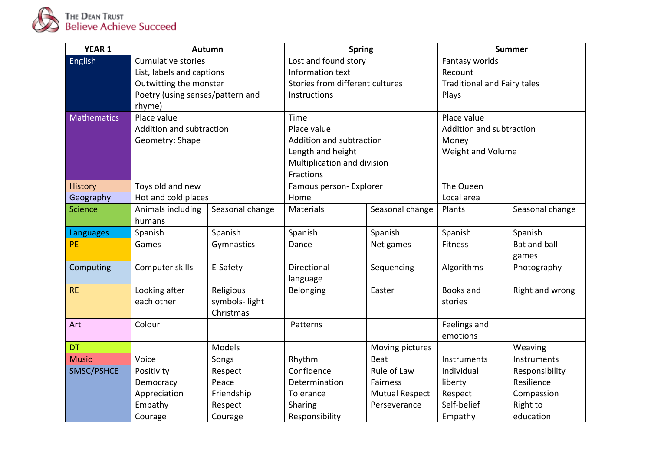

| <b>YEAR 1</b>      | Autumn                           |                 | <b>Spring</b>                   |                       | <b>Summer</b>                      |                 |
|--------------------|----------------------------------|-----------------|---------------------------------|-----------------------|------------------------------------|-----------------|
| English            | <b>Cumulative stories</b>        |                 | Lost and found story            |                       | Fantasy worlds                     |                 |
|                    | List, labels and captions        |                 | Information text                |                       | Recount                            |                 |
|                    | Outwitting the monster           |                 | Stories from different cultures |                       | <b>Traditional and Fairy tales</b> |                 |
|                    | Poetry (using senses/pattern and |                 | Instructions                    |                       | Plays                              |                 |
|                    | rhyme)                           |                 |                                 |                       |                                    |                 |
| <b>Mathematics</b> | Place value                      |                 | Time                            |                       | Place value                        |                 |
|                    | Addition and subtraction         |                 | Place value                     |                       | Addition and subtraction           |                 |
|                    | Geometry: Shape                  |                 | Addition and subtraction        |                       | Money                              |                 |
|                    |                                  |                 | Length and height               |                       | Weight and Volume                  |                 |
|                    |                                  |                 | Multiplication and division     |                       |                                    |                 |
|                    |                                  |                 | Fractions                       |                       |                                    |                 |
| History            | Toys old and new                 |                 | Famous person- Explorer         |                       | The Queen                          |                 |
| Geography          | Hot and cold places              |                 | Home                            |                       | Local area                         |                 |
| <b>Science</b>     | Animals including                | Seasonal change | Materials                       | Seasonal change       | Plants                             | Seasonal change |
|                    | humans                           |                 |                                 |                       |                                    |                 |
| Languages          | Spanish                          | Spanish         | Spanish                         | Spanish               | Spanish                            | Spanish         |
| PE                 | Games                            | Gymnastics      | Dance                           | Net games             | <b>Fitness</b>                     | Bat and ball    |
|                    |                                  |                 |                                 |                       |                                    | games           |
| Computing          | Computer skills                  | E-Safety        | Directional                     | Sequencing            | Algorithms                         | Photography     |
|                    |                                  |                 | language                        |                       |                                    |                 |
| <b>RE</b>          | Looking after                    | Religious       | Belonging                       | Easter                | <b>Books and</b>                   | Right and wrong |
|                    | each other                       | symbols-light   |                                 |                       | stories                            |                 |
|                    |                                  | Christmas       |                                 |                       |                                    |                 |
| Art                | Colour                           |                 | Patterns                        |                       | Feelings and                       |                 |
|                    |                                  |                 |                                 |                       | emotions                           |                 |
| <b>DT</b>          |                                  | Models          |                                 | Moving pictures       |                                    | Weaving         |
| <b>Music</b>       | Voice                            | Songs           | Rhythm                          | Beat                  | Instruments                        | Instruments     |
| SMSC/PSHCE         | Positivity                       | Respect         | Confidence                      | Rule of Law           | Individual                         | Responsibility  |
|                    | Democracy                        | Peace           | Determination                   | Fairness              | liberty                            | Resilience      |
|                    | Appreciation                     | Friendship      | Tolerance                       | <b>Mutual Respect</b> | Respect                            | Compassion      |
|                    | Empathy                          | Respect         | Sharing                         | Perseverance          | Self-belief                        | Right to        |
|                    | Courage                          | Courage         | Responsibility                  |                       | Empathy                            | education       |